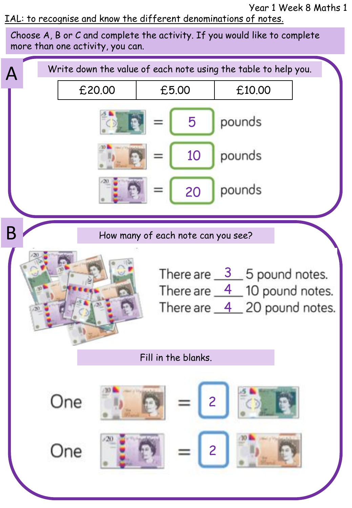Year 1 Week 8 Maths 1

IAL: to recognise and know the different denominations of notes.

Choose A, B or C and complete the activity. If you would like to complete more than one activity, you can.

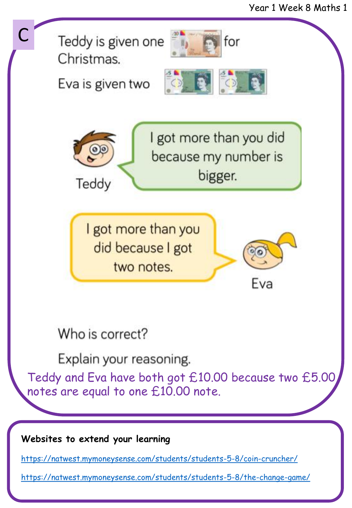

<https://natwest.mymoneysense.com/students/students-5-8/the-change-game/>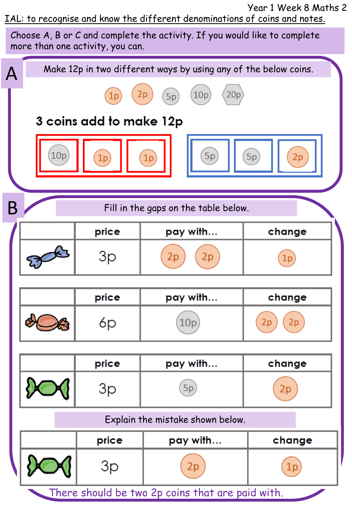Year 1 Week 8 Maths 2 IAL: to recognise and know the different denominations of coins and notes.

Choose A, B or C and complete the activity. If you would like to complete more than one activity, you can.

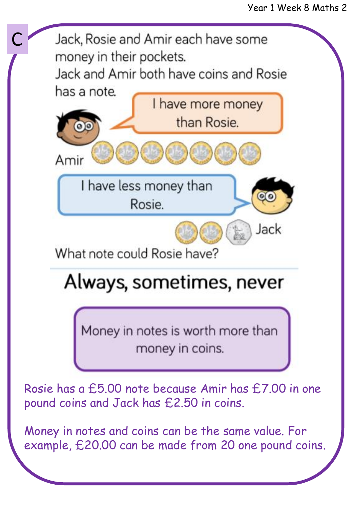

Money in notes and coins can be the same value. For example, £20.00 can be made from 20 one pound coins.